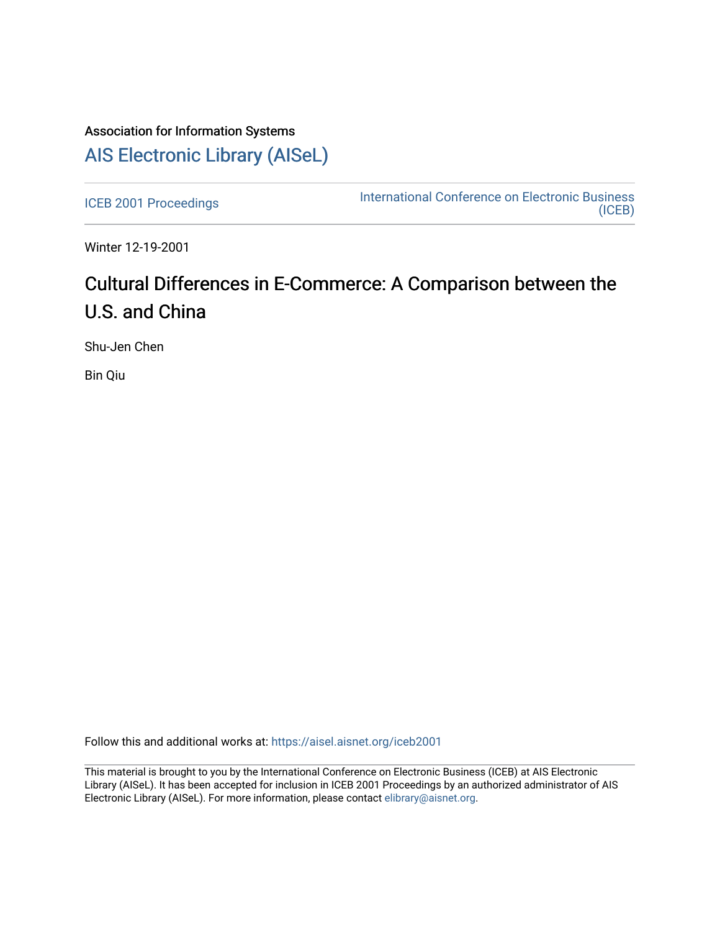## Association for Information Systems [AIS Electronic Library \(AISeL\)](https://aisel.aisnet.org/)

[ICEB 2001 Proceedings](https://aisel.aisnet.org/iceb2001) **International Conference on Electronic Business** [\(ICEB\)](https://aisel.aisnet.org/iceb) 

Winter 12-19-2001

# Cultural Differences in E-Commerce: A Comparison between the U.S. and China

Shu-Jen Chen

Bin Qiu

Follow this and additional works at: [https://aisel.aisnet.org/iceb2001](https://aisel.aisnet.org/iceb2001?utm_source=aisel.aisnet.org%2Ficeb2001%2F136&utm_medium=PDF&utm_campaign=PDFCoverPages)

This material is brought to you by the International Conference on Electronic Business (ICEB) at AIS Electronic Library (AISeL). It has been accepted for inclusion in ICEB 2001 Proceedings by an authorized administrator of AIS Electronic Library (AISeL). For more information, please contact [elibrary@aisnet.org.](mailto:elibrary@aisnet.org%3E)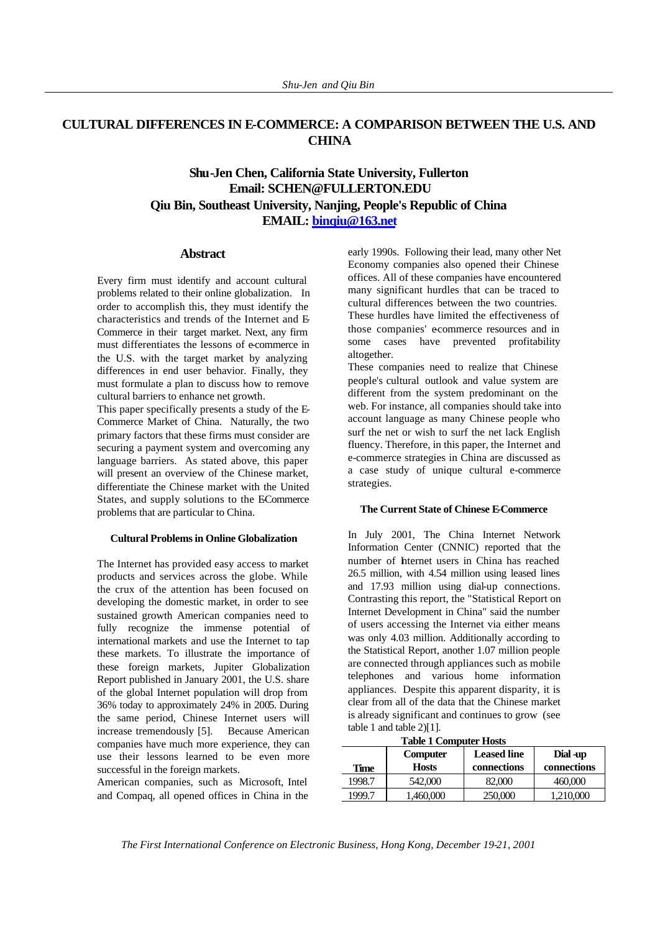## **CULTURAL DIFFERENCES IN E-COMMERCE: A COMPARISON BETWEEN THE U.S. AND CHINA**

## **Shu-Jen Chen, California State University, Fullerton Email: SCHEN@FULLERTON.EDU Qiu Bin, Southeast University, Nanjing, People's Republic of China EMAIL: binqiu@163.net**

#### **Abstract**

Every firm must identify and account cultural problems related to their online globalization. In order to accomplish this, they must identify the characteristics and trends of the Internet and E-Commerce in their target market. Next, any firm must differentiates the lessons of e-commerce in the U.S. with the target market by analyzing differences in end user behavior. Finally, they must formulate a plan to discuss how to remove cultural barriers to enhance net growth.

This paper specifically presents a study of the E-Commerce Market of China. Naturally, the two primary factors that these firms must consider are securing a payment system and overcoming any language barriers. As stated above, this paper will present an overview of the Chinese market, differentiate the Chinese market with the United States, and supply solutions to the ECommerce problems that are particular to China.

### **Cultural Problems in Online Globalization**

The Internet has provided easy access to market products and services across the globe. While the crux of the attention has been focused on developing the domestic market, in order to see sustained growth American companies need to fully recognize the immense potential of international markets and use the Internet to tap these markets. To illustrate the importance of these foreign markets, Jupiter Globalization Report published in January 2001, the U.S. share of the global Internet population will drop from 36% today to approximately 24% in 2005. During the same period, Chinese Internet users will increase tremendously [5]. Because American companies have much more experience, they can use their lessons learned to be even more successful in the foreign markets.

American companies, such as Microsoft, Intel and Compaq, all opened offices in China in the early 1990s. Following their lead, many other Net Economy companies also opened their Chinese offices. All of these companies have encountered many significant hurdles that can be traced to cultural differences between the two countries. These hurdles have limited the effectiveness of those companies' ecommerce resources and in some cases have prevented profitability altogether.

These companies need to realize that Chinese people's cultural outlook and value system are different from the system predominant on the web. For instance, all companies should take into account language as many Chinese people who surf the net or wish to surf the net lack English fluency. Therefore, in this paper, the Internet and e-commerce strategies in China are discussed as a case study of unique cultural e-commerce strategies.

#### **The Current State of Chinese E-Commerce**

In July 2001, The China Internet Network Information Center (CNNIC) reported that the number of Internet users in China has reached 26.5 million, with 4.54 million using leased lines and 17.93 million using dial-up connections. Contrasting this report, the "Statistical Report on Internet Development in China" said the number of users accessing the Internet via either means was only 4.03 million. Additionally according to the Statistical Report, another 1.07 million people are connected through appliances such as mobile telephones and various home information appliances. Despite this apparent disparity, it is clear from all of the data that the Chinese market is already significant and continues to grow (see table 1 and table 2)[1].

**Table 1 Computer Hosts**

| Time   | Computer<br><b>Hosts</b> | <b>Leased line</b><br>connections | Dial -up<br>connections |
|--------|--------------------------|-----------------------------------|-------------------------|
| 1998.7 | 542,000                  | 82.000                            | 460,000                 |
| 1999.7 | l.460.000                | 250,000                           | 1,210,000               |

*The First International Conference on Electronic Business, Hong Kong, December 19-21, 2001*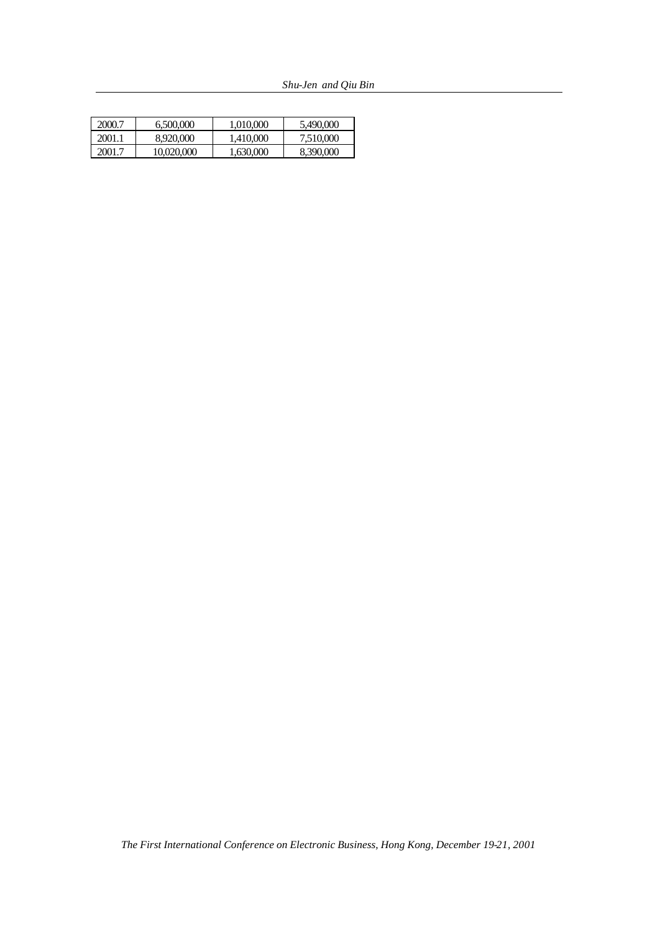| 2000.7 | 6,500,000  | 1.010.000 | 5.490,000 |
|--------|------------|-----------|-----------|
| 2001.1 | 8,920,000  | 1.410.000 | 7.510.000 |
| 2001.7 | 10.020.000 | 1.630.000 | 8.390,000 |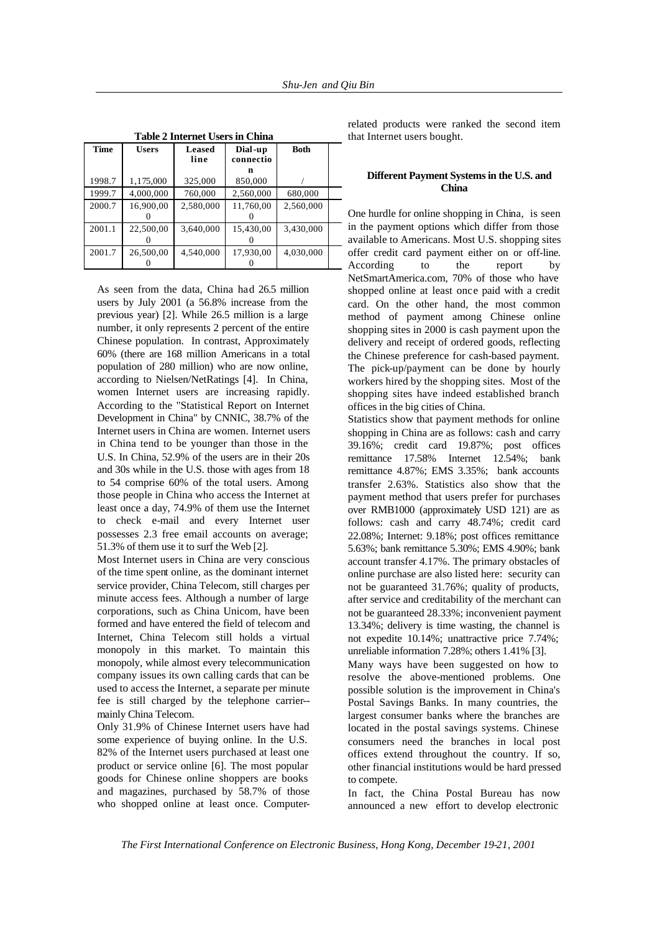| <b>Table 2 Internet Users in China</b> |              |                |                      |             |  |  |  |
|----------------------------------------|--------------|----------------|----------------------|-------------|--|--|--|
| Time                                   | <b>Users</b> | Leased<br>line | Dial-up<br>connectio | <b>Both</b> |  |  |  |
|                                        |              |                | n                    |             |  |  |  |
| 1998.7                                 | 1,175,000    | 325,000        | 850,000              |             |  |  |  |
| 1999.7                                 | 4,000,000    | 760,000        | 2,560,000            | 680,000     |  |  |  |
| 2000.7                                 | 16,900,00    | 2,580,000      | 11,760,00            | 2,560,000   |  |  |  |
|                                        |              |                |                      |             |  |  |  |
| 2001.1                                 | 22,500,00    | 3,640,000      | 15,430,00            | 3,430,000   |  |  |  |
|                                        |              |                |                      |             |  |  |  |
| 2001.7                                 | 26,500,00    | 4,540,000      | 17,930,00            | 4,030,000   |  |  |  |
|                                        |              |                |                      |             |  |  |  |

As seen from the data, China had 26.5 million users by July 2001 (a 56.8% increase from the previous year) [2]. While 26.5 million is a large number, it only represents 2 percent of the entire Chinese population. In contrast, Approximately 60% (there are 168 million Americans in a total population of 280 million) who are now online, according to Nielsen/NetRatings [4]. In China, women Internet users are increasing rapidly. According to the "Statistical Report on Internet Development in China" by CNNIC, 38.7% of the Internet users in China are women. Internet users in China tend to be younger than those in the U.S. In China, 52.9% of the users are in their 20s and 30s while in the U.S. those with ages from 18 to 54 comprise 60% of the total users. Among those people in China who access the Internet at least once a day, 74.9% of them use the Internet to check e-mail and every Internet user possesses 2.3 free email accounts on average; 51.3% of them use it to surf the Web [2].

Most Internet users in China are very conscious of the time spent online, as the dominant internet service provider, China Telecom, still charges per minute access fees. Although a number of large corporations, such as China Unicom, have been formed and have entered the field of telecom and Internet, China Telecom still holds a virtual monopoly in this market. To maintain this monopoly, while almost every telecommunication company issues its own calling cards that can be used to access the Internet, a separate per minute fee is still charged by the telephone carrier- mainly China Telecom.

Only 31.9% of Chinese Internet users have had some experience of buying online. In the U.S. 82% of the Internet users purchased at least one product or service online [6]. The most popular goods for Chinese online shoppers are books and magazines, purchased by 58.7% of those who shopped online at least once. Computer-

related products were ranked the second item that Internet users bought.

#### **Different Payment Systems in the U.S. and China**

One hurdle for online shopping in China, is seen in the payment options which differ from those available to Americans. Most U.S. shopping sites offer credit card payment either on or off-line. According to the report by NetSmartAmerica.com, 70% of those who have shopped online at least once paid with a credit card. On the other hand, the most common method of payment among Chinese online shopping sites in 2000 is cash payment upon the delivery and receipt of ordered goods, reflecting the Chinese preference for cash-based payment. The pick-up/payment can be done by hourly workers hired by the shopping sites. Most of the shopping sites have indeed established branch offices in the big cities of China.

Statistics show that payment methods for online shopping in China are as follows: cash and carry 39.16%; credit card 19.87%; post offices remittance 17.58% Internet 12.54%; bank remittance 4.87%; EMS 3.35%; bank accounts transfer 2.63%. Statistics also show that the payment method that users prefer for purchases over RMB1000 (approximately USD 121) are as follows: cash and carry 48.74%; credit card 22.08%; Internet: 9.18%; post offices remittance 5.63%; bank remittance 5.30%; EMS 4.90%; bank account transfer 4.17%. The primary obstacles of online purchase are also listed here: security can not be guaranteed 31.76%; quality of products, after service and creditability of the merchant can not be guaranteed 28.33%; inconvenient payment 13.34%; delivery is time wasting, the channel is not expedite 10.14%; unattractive price 7.74%; unreliable information 7.28%; others 1.41% [3].

Many ways have been suggested on how to resolve the above-mentioned problems. One possible solution is the improvement in China's Postal Savings Banks. In many countries, the largest consumer banks where the branches are located in the postal savings systems. Chinese consumers need the branches in local post offices extend throughout the country. If so, other financial institutions would be hard pressed to compete.

In fact, the China Postal Bureau has now announced a new effort to develop electronic

*The First International Conference on Electronic Business, Hong Kong, December 19-21, 2001*